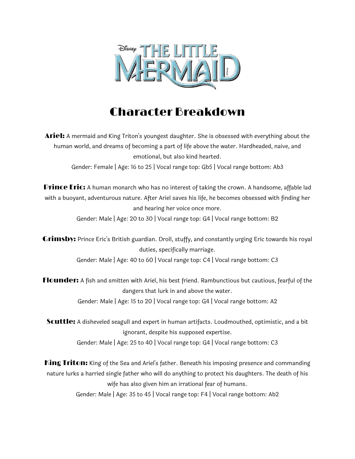

## Character Breakdown

**Ariel:** A mermaid and King Triton's youngest daughter. She is obsessed with everything about the human world, and dreams of becoming a part of life above the water. Hardheaded, naive, and emotional, but also kind hearted.

Gender: Female | Age: 16 to 25 | Vocal range top: Gb5 | Vocal range bottom: Ab3

**Prince Eric:** A human monarch who has no interest of taking the crown. A handsome, affable lad with a buoyant, adventurous nature. After Ariel saves his life, he becomes obsessed with finding her and hearing her voice once more.

Gender: Male | Age: 20 to 30 | Vocal range top: G4 | Vocal range bottom: B2

**Grimsby:** Prince Eric's British guardian. Droll, stuffy, and constantly urging Eric towards his royal duties, specifically marriage. Gender: Male | Age: 40 to 60 | Vocal range top: C4 | Vocal range bottom: C3

Flounder: A fish and smitten with Ariel, his best friend. Rambunctious but cautious, fearful of the dangers that lurk in and above the water. Gender: Male | Age: 15 to 20 | Vocal range top: G4 | Vocal range bottom: A2

Scuttle: A disheveled seagull and expert in human artifacts. Loudmouthed, optimistic, and a bit ignorant, despite his supposed expertise. Gender: Male | Age: 25 to 40 | Vocal range top: G4 | Vocal range bottom: C3

King Triton: King of the Sea and Ariel's father. Beneath his imposing presence and commanding nature lurks a harried single father who will do anything to protect his daughters. The death of his wife has also given him an irrational fear of humans. Gender: Male | Age: 35 to 45 | Vocal range top: F4 | Vocal range bottom: Ab2